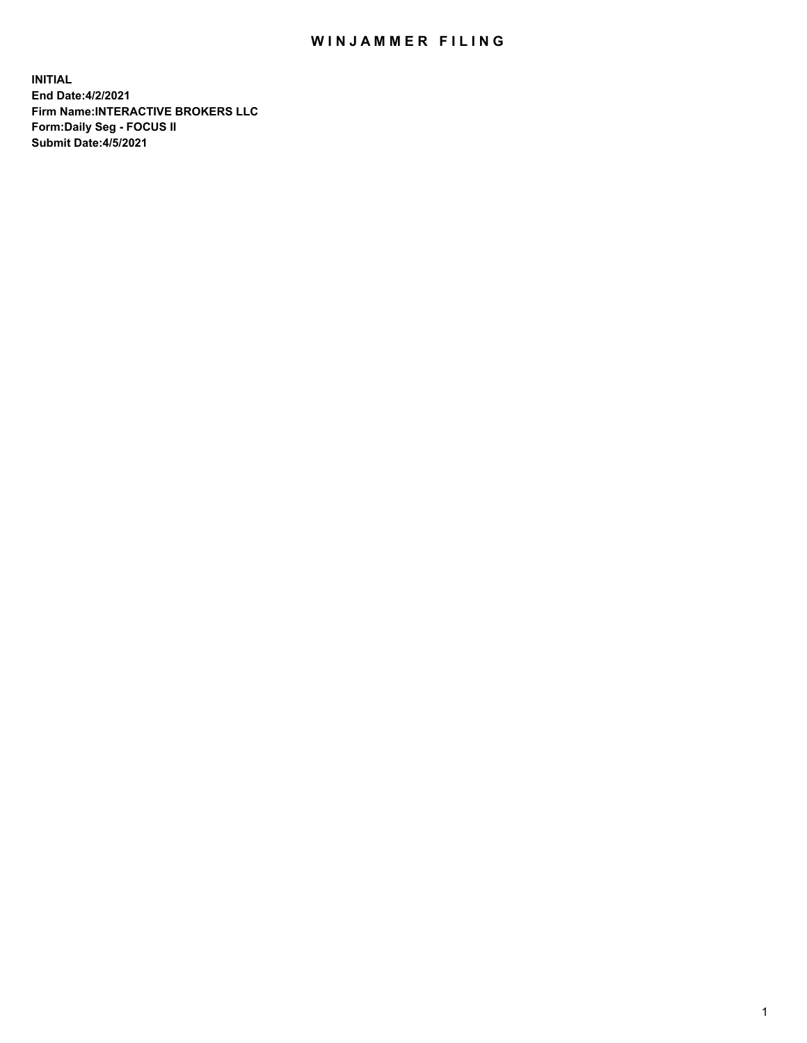## WIN JAMMER FILING

**INITIAL End Date:4/2/2021 Firm Name:INTERACTIVE BROKERS LLC Form:Daily Seg - FOCUS II Submit Date:4/5/2021**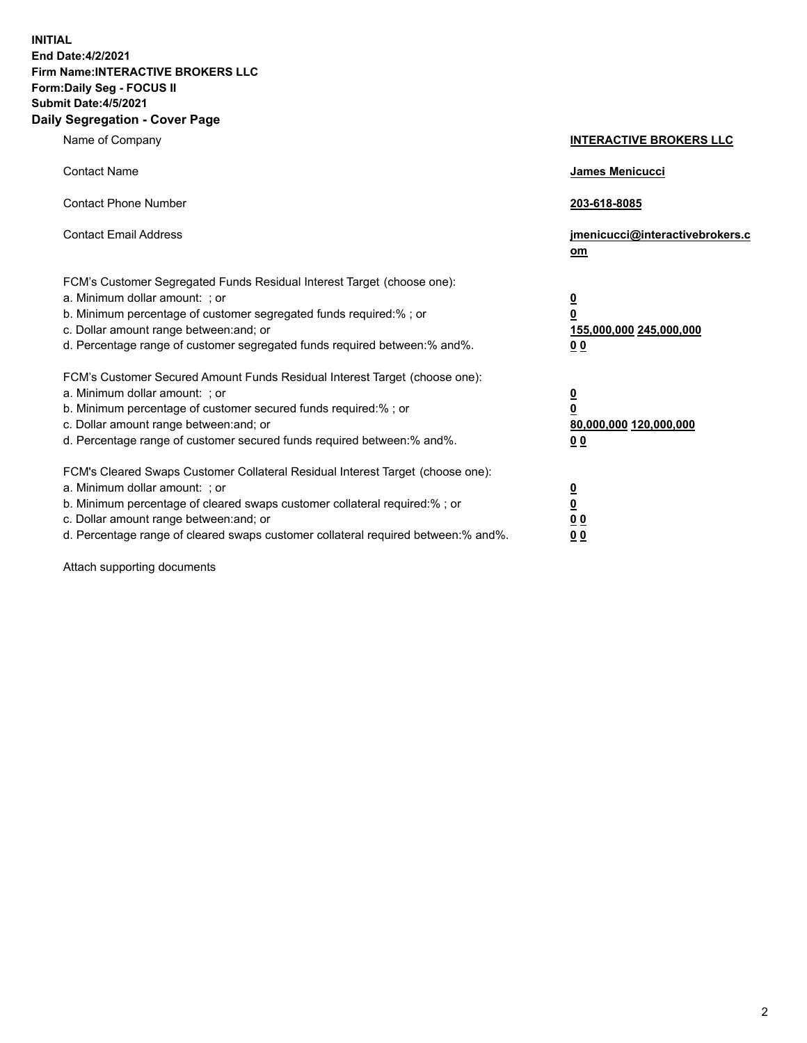**INITIAL End Date:4/2/2021 Firm Name:INTERACTIVE BROKERS LLC Form:Daily Seg - FOCUS II Submit Date:4/5/2021 Daily Segregation - Cover Page**

| Name of Company                                                                                                                                                                                                                                                                                                                | <b>INTERACTIVE BROKERS LLC</b>                                                                  |
|--------------------------------------------------------------------------------------------------------------------------------------------------------------------------------------------------------------------------------------------------------------------------------------------------------------------------------|-------------------------------------------------------------------------------------------------|
| <b>Contact Name</b>                                                                                                                                                                                                                                                                                                            | James Menicucci                                                                                 |
| <b>Contact Phone Number</b>                                                                                                                                                                                                                                                                                                    | 203-618-8085                                                                                    |
| <b>Contact Email Address</b>                                                                                                                                                                                                                                                                                                   | jmenicucci@interactivebrokers.c<br>om                                                           |
| FCM's Customer Segregated Funds Residual Interest Target (choose one):<br>a. Minimum dollar amount: ; or<br>b. Minimum percentage of customer segregated funds required:%; or<br>c. Dollar amount range between: and; or<br>d. Percentage range of customer segregated funds required between:% and%.                          | $\overline{\mathbf{0}}$<br>$\overline{\mathbf{0}}$<br>155,000,000 245,000,000<br>0 <sub>0</sub> |
| FCM's Customer Secured Amount Funds Residual Interest Target (choose one):<br>a. Minimum dollar amount: ; or<br>b. Minimum percentage of customer secured funds required:% ; or<br>c. Dollar amount range between: and; or<br>d. Percentage range of customer secured funds required between:% and%.                           | $\frac{0}{0}$<br>80,000,000 120,000,000<br>0 <sub>0</sub>                                       |
| FCM's Cleared Swaps Customer Collateral Residual Interest Target (choose one):<br>a. Minimum dollar amount: ; or<br>b. Minimum percentage of cleared swaps customer collateral required:% ; or<br>c. Dollar amount range between: and; or<br>d. Percentage range of cleared swaps customer collateral required between:% and%. | $\frac{0}{0}$<br>0 <sub>0</sub><br>0 <sub>0</sub>                                               |

Attach supporting documents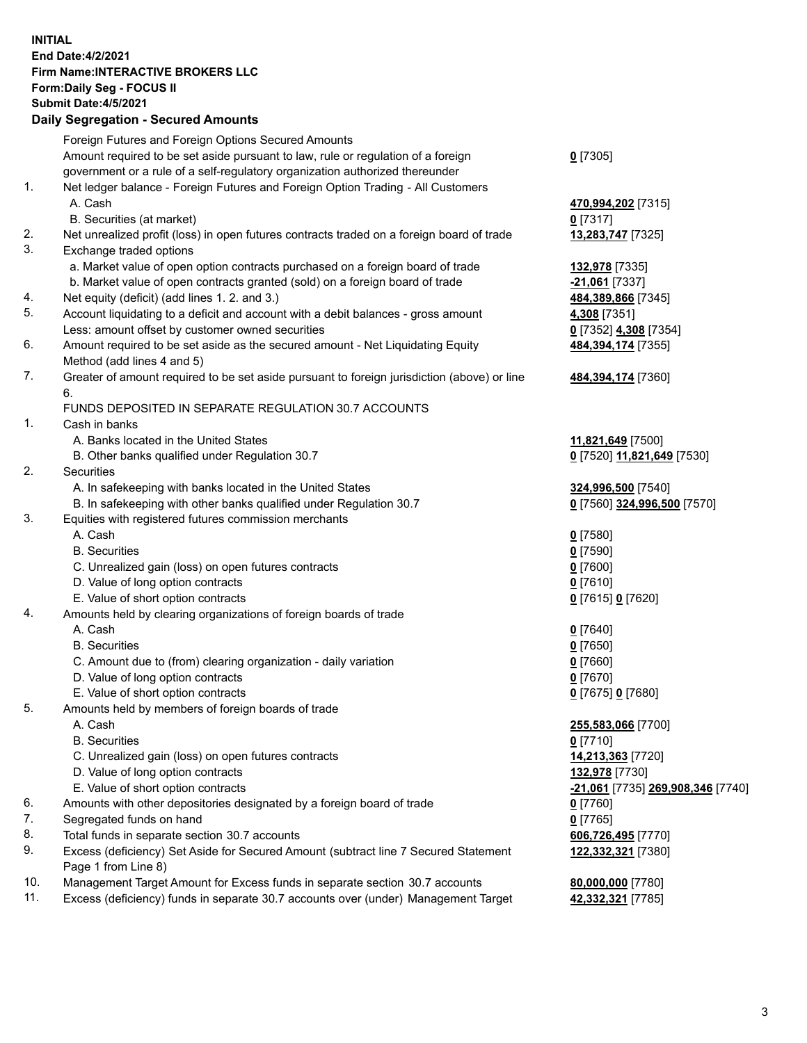## **INITIAL End Date:4/2/2021 Firm Name:INTERACTIVE BROKERS LLC Form:Daily Seg - FOCUS II Submit Date:4/5/2021 Daily Segregation - Secured Amounts**

|     | 2011, Ocgi ogation - Oceaned Anioania                                                                      |                                          |
|-----|------------------------------------------------------------------------------------------------------------|------------------------------------------|
|     | Foreign Futures and Foreign Options Secured Amounts                                                        |                                          |
|     | Amount required to be set aside pursuant to law, rule or regulation of a foreign                           | $0$ [7305]                               |
|     | government or a rule of a self-regulatory organization authorized thereunder                               |                                          |
| 1.  | Net ledger balance - Foreign Futures and Foreign Option Trading - All Customers                            |                                          |
|     | A. Cash                                                                                                    | 470,994,202 [7315]                       |
|     | B. Securities (at market)                                                                                  | $0$ [7317]                               |
| 2.  | Net unrealized profit (loss) in open futures contracts traded on a foreign board of trade                  | 13,283,747 [7325]                        |
| 3.  | Exchange traded options                                                                                    |                                          |
|     | a. Market value of open option contracts purchased on a foreign board of trade                             | 132,978 [7335]                           |
|     | b. Market value of open contracts granted (sold) on a foreign board of trade                               | -21,061 [7337]                           |
| 4.  | Net equity (deficit) (add lines 1. 2. and 3.)                                                              | 484,389,866 [7345]                       |
| 5.  | Account liquidating to a deficit and account with a debit balances - gross amount                          | 4,308 [7351]                             |
|     | Less: amount offset by customer owned securities                                                           | 0 [7352] 4,308 [7354]                    |
| 6.  | Amount required to be set aside as the secured amount - Net Liquidating Equity                             | 484,394,174 [7355]                       |
|     | Method (add lines 4 and 5)                                                                                 |                                          |
| 7.  | Greater of amount required to be set aside pursuant to foreign jurisdiction (above) or line                | 484,394,174 [7360]                       |
|     | 6.                                                                                                         |                                          |
|     | FUNDS DEPOSITED IN SEPARATE REGULATION 30.7 ACCOUNTS                                                       |                                          |
| 1.  | Cash in banks                                                                                              |                                          |
|     | A. Banks located in the United States                                                                      | 11,821,649 [7500]                        |
|     | B. Other banks qualified under Regulation 30.7                                                             | 0 [7520] 11,821,649 [7530]               |
| 2.  | Securities                                                                                                 |                                          |
|     | A. In safekeeping with banks located in the United States                                                  | 324,996,500 [7540]                       |
|     | B. In safekeeping with other banks qualified under Regulation 30.7                                         | 0 [7560] 324,996,500 [7570]              |
| 3.  | Equities with registered futures commission merchants                                                      |                                          |
|     | A. Cash                                                                                                    | $0$ [7580]                               |
|     | <b>B.</b> Securities                                                                                       | $0$ [7590]                               |
|     | C. Unrealized gain (loss) on open futures contracts                                                        | $0$ [7600]                               |
|     | D. Value of long option contracts                                                                          | $0$ [7610]                               |
|     | E. Value of short option contracts                                                                         | 0 [7615] 0 [7620]                        |
| 4.  | Amounts held by clearing organizations of foreign boards of trade                                          |                                          |
|     | A. Cash                                                                                                    | $0$ [7640]                               |
|     | <b>B.</b> Securities                                                                                       | $0$ [7650]                               |
|     | C. Amount due to (from) clearing organization - daily variation                                            | $0$ [7660]                               |
|     | D. Value of long option contracts                                                                          | $0$ [7670]                               |
|     | E. Value of short option contracts                                                                         | 0 [7675] 0 [7680]                        |
| 5.  | Amounts held by members of foreign boards of trade                                                         |                                          |
|     | A. Cash                                                                                                    | 255,583,066 [7700]                       |
|     | <b>B.</b> Securities                                                                                       | $0$ [7710]                               |
|     | C. Unrealized gain (loss) on open futures contracts                                                        | 14,213,363 [7720]                        |
|     | D. Value of long option contracts                                                                          | 132,978 [7730]                           |
|     | E. Value of short option contracts                                                                         | <u>-21,061</u> [7735] 269,908,346 [7740] |
| 6.  | Amounts with other depositories designated by a foreign board of trade                                     | 0 [7760]                                 |
| 7.  | Segregated funds on hand                                                                                   | $0$ [7765]                               |
| 8.  | Total funds in separate section 30.7 accounts                                                              | 606,726,495 [7770]                       |
| 9.  | Excess (deficiency) Set Aside for Secured Amount (subtract line 7 Secured Statement<br>Page 1 from Line 8) | 122,332,321 [7380]                       |
| 10. | Management Target Amount for Excess funds in separate section 30.7 accounts                                | 80,000,000 [7780]                        |
| 11. | Excess (deficiency) funds in separate 30.7 accounts over (under) Management Target                         | 42,332,321 [7785]                        |
|     |                                                                                                            |                                          |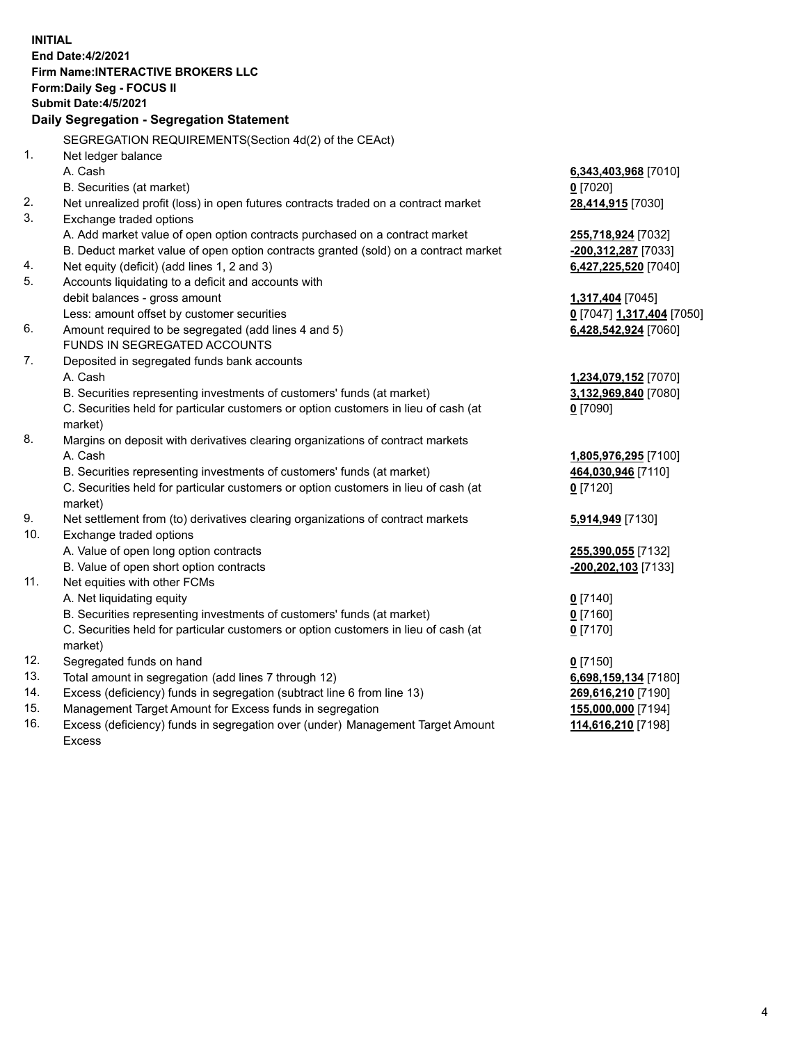**INITIAL End Date:4/2/2021 Firm Name:INTERACTIVE BROKERS LLC Form:Daily Seg - FOCUS II Submit Date:4/5/2021 Daily Segregation - Segregation Statement** SEGREGATION REQUIREMENTS(Section 4d(2) of the CEAct) 1. Net ledger balance A. Cash **6,343,403,968** [7010] B. Securities (at market) **0** [7020] 2. Net unrealized profit (loss) in open futures contracts traded on a contract market **28,414,915** [7030] 3. Exchange traded options A. Add market value of open option contracts purchased on a contract market **255,718,924** [7032] B. Deduct market value of open option contracts granted (sold) on a contract market **-200,312,287** [7033] 4. Net equity (deficit) (add lines 1, 2 and 3) **6,427,225,520** [7040] 5. Accounts liquidating to a deficit and accounts with debit balances - gross amount **1,317,404** [7045] Less: amount offset by customer securities **0** [7047] **1,317,404** [7050] 6. Amount required to be segregated (add lines 4 and 5) **6,428,542,924** [7060] FUNDS IN SEGREGATED ACCOUNTS 7. Deposited in segregated funds bank accounts A. Cash **1,234,079,152** [7070] B. Securities representing investments of customers' funds (at market) **3,132,969,840** [7080] C. Securities held for particular customers or option customers in lieu of cash (at market) **0** [7090] 8. Margins on deposit with derivatives clearing organizations of contract markets A. Cash **1,805,976,295** [7100] B. Securities representing investments of customers' funds (at market) **464,030,946** [7110] C. Securities held for particular customers or option customers in lieu of cash (at market) **0** [7120] 9. Net settlement from (to) derivatives clearing organizations of contract markets **5,914,949** [7130] 10. Exchange traded options A. Value of open long option contracts **255,390,055** [7132] B. Value of open short option contracts **-200,202,103** [7133] 11. Net equities with other FCMs A. Net liquidating equity **0** [7140] B. Securities representing investments of customers' funds (at market) **0** [7160] C. Securities held for particular customers or option customers in lieu of cash (at market) **0** [7170] 12. Segregated funds on hand **0** [7150] 13. Total amount in segregation (add lines 7 through 12) **6,698,159,134** [7180] 14. Excess (deficiency) funds in segregation (subtract line 6 from line 13) **269,616,210** [7190] 15. Management Target Amount for Excess funds in segregation **155,000,000** [7194] **114,616,210** [7198]

16. Excess (deficiency) funds in segregation over (under) Management Target Amount Excess